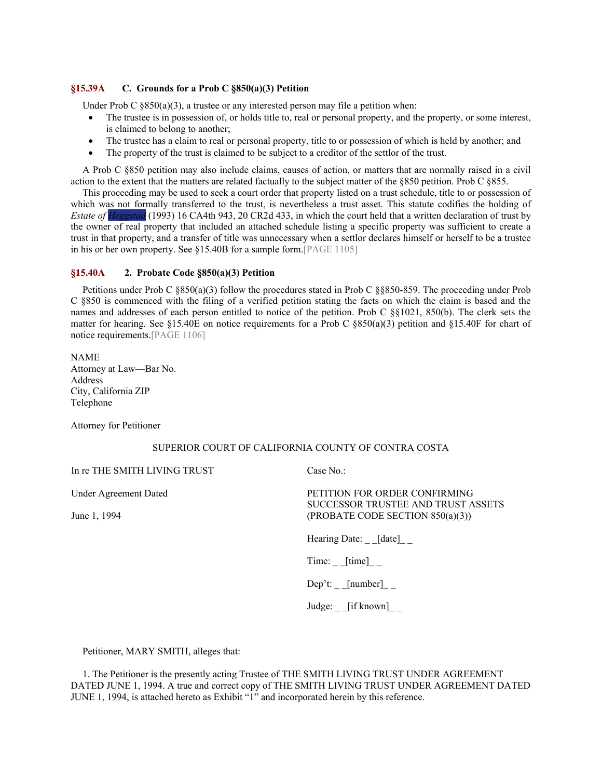## **§15.39A C. Grounds for a Prob C §850(a)(3) Petition**

Under Prob C  $\S 850(a)(3)$ , a trustee or any interested person may file a petition when:

- The trustee is in possession of, or holds title to, real or personal property, and the property, or some interest, is claimed to belong to another;
- The trustee has a claim to real or personal property, title to or possession of which is held by another; and
- The property of the trust is claimed to be subject to a creditor of the settlor of the trust.

A Prob C §850 petition may also include claims, causes of action, or matters that are normally raised in a civil action to the extent that the matters are related factually to the subject matter of the §850 petition. Prob C §855.

This proceeding may be used to seek a court order that property listed on a trust schedule, title to or possession of which was not formally transferred to the trust, is nevertheless a trust asset. This statute codifies the holding of *Estate of Heggstad* (1993) 16 CA4th 943, 20 CR2d 433, in which the court held that a written declaration of trust by the owner of real property that included an attached schedule listing a specific property was sufficient to create a trust in that property, and a transfer of title was unnecessary when a settlor declares himself or herself to be a trustee in his or her own property. See §15.40B for a sample form.[PAGE 1105]

## **§15.40A 2. Probate Code §850(a)(3) Petition**

Petitions under Prob C §850(a)(3) follow the procedures stated in Prob C §§850-859. The proceeding under Prob C §850 is commenced with the filing of a verified petition stating the facts on which the claim is based and the names and addresses of each person entitled to notice of the petition. Prob C §§1021, 850(b). The clerk sets the matter for hearing. See §15.40E on notice requirements for a Prob C §850(a)(3) petition and §15.40F for chart of notice requirements.[PAGE 1106]

NAME Attorney at Law—Bar No. Address City, California ZIP Telephone

Attorney for Petitioner

## SUPERIOR COURT OF CALIFORNIA COUNTY OF CONTRA COSTA

In re THE SMITH LIVING TRUST

Under Agreement Dated

June 1, 1994

Case No.:

PETITION FOR ORDER CONFIRMING SUCCESSOR TRUSTEE AND TRUST ASSETS (PROBATE CODE SECTION 850(a)(3))

Hearing Date: [date]

 $Time:$   $[time]$   $\_$ 

Dep't: [number]

Judge: [if known]

Petitioner, MARY SMITH, alleges that:

1. The Petitioner is the presently acting Trustee of THE SMITH LIVING TRUST UNDER AGREEMENT DATED JUNE 1, 1994. A true and correct copy of THE SMITH LIVING TRUST UNDER AGREEMENT DATED JUNE 1, 1994, is attached hereto as Exhibit "1" and incorporated herein by this reference.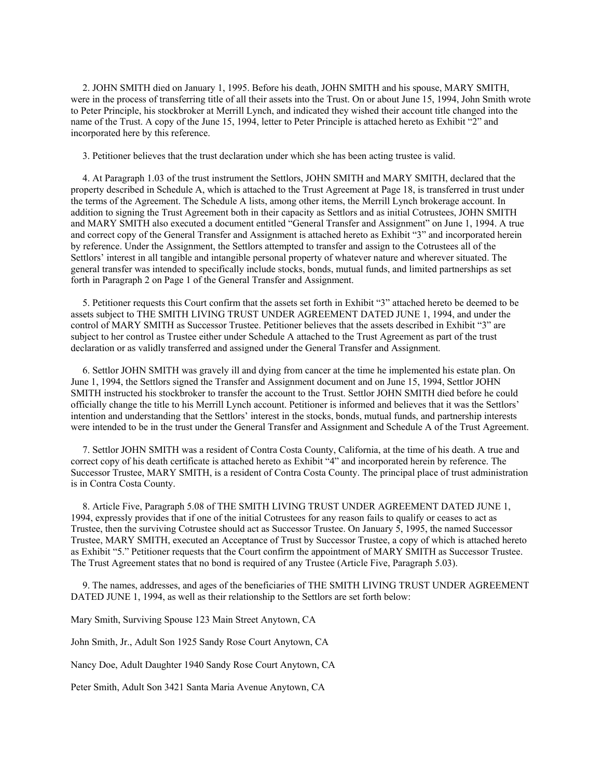2. JOHN SMITH died on January 1, 1995. Before his death, JOHN SMITH and his spouse, MARY SMITH, were in the process of transferring title of all their assets into the Trust. On or about June 15, 1994, John Smith wrote to Peter Principle, his stockbroker at Merrill Lynch, and indicated they wished their account title changed into the name of the Trust. A copy of the June 15, 1994, letter to Peter Principle is attached hereto as Exhibit "2" and incorporated here by this reference.

3. Petitioner believes that the trust declaration under which she has been acting trustee is valid.

4. At Paragraph 1.03 of the trust instrument the Settlors, JOHN SMITH and MARY SMITH, declared that the property described in Schedule A, which is attached to the Trust Agreement at Page 18, is transferred in trust under the terms of the Agreement. The Schedule A lists, among other items, the Merrill Lynch brokerage account. In addition to signing the Trust Agreement both in their capacity as Settlors and as initial Cotrustees, JOHN SMITH and MARY SMITH also executed a document entitled "General Transfer and Assignment" on June 1, 1994. A true and correct copy of the General Transfer and Assignment is attached hereto as Exhibit "3" and incorporated herein by reference. Under the Assignment, the Settlors attempted to transfer and assign to the Cotrustees all of the Settlors' interest in all tangible and intangible personal property of whatever nature and wherever situated. The general transfer was intended to specifically include stocks, bonds, mutual funds, and limited partnerships as set forth in Paragraph 2 on Page 1 of the General Transfer and Assignment.

5. Petitioner requests this Court confirm that the assets set forth in Exhibit "3" attached hereto be deemed to be assets subject to THE SMITH LIVING TRUST UNDER AGREEMENT DATED JUNE 1, 1994, and under the control of MARY SMITH as Successor Trustee. Petitioner believes that the assets described in Exhibit "3" are subject to her control as Trustee either under Schedule A attached to the Trust Agreement as part of the trust declaration or as validly transferred and assigned under the General Transfer and Assignment.

6. Settlor JOHN SMITH was gravely ill and dying from cancer at the time he implemented his estate plan. On June 1, 1994, the Settlors signed the Transfer and Assignment document and on June 15, 1994, Settlor JOHN SMITH instructed his stockbroker to transfer the account to the Trust. Settlor JOHN SMITH died before he could officially change the title to his Merrill Lynch account. Petitioner is informed and believes that it was the Settlors' intention and understanding that the Settlors' interest in the stocks, bonds, mutual funds, and partnership interests were intended to be in the trust under the General Transfer and Assignment and Schedule A of the Trust Agreement.

7. Settlor JOHN SMITH was a resident of Contra Costa County, California, at the time of his death. A true and correct copy of his death certificate is attached hereto as Exhibit "4" and incorporated herein by reference. The Successor Trustee, MARY SMITH, is a resident of Contra Costa County. The principal place of trust administration is in Contra Costa County.

8. Article Five, Paragraph 5.08 of THE SMITH LIVING TRUST UNDER AGREEMENT DATED JUNE 1, 1994, expressly provides that if one of the initial Cotrustees for any reason fails to qualify or ceases to act as Trustee, then the surviving Cotrustee should act as Successor Trustee. On January 5, 1995, the named Successor Trustee, MARY SMITH, executed an Acceptance of Trust by Successor Trustee, a copy of which is attached hereto as Exhibit "5." Petitioner requests that the Court confirm the appointment of MARY SMITH as Successor Trustee. The Trust Agreement states that no bond is required of any Trustee (Article Five, Paragraph 5.03).

9. The names, addresses, and ages of the beneficiaries of THE SMITH LIVING TRUST UNDER AGREEMENT DATED JUNE 1, 1994, as well as their relationship to the Settlors are set forth below:

Mary Smith, Surviving Spouse 123 Main Street Anytown, CA

John Smith, Jr., Adult Son 1925 Sandy Rose Court Anytown, CA

Nancy Doe, Adult Daughter 1940 Sandy Rose Court Anytown, CA

Peter Smith, Adult Son 3421 Santa Maria Avenue Anytown, CA